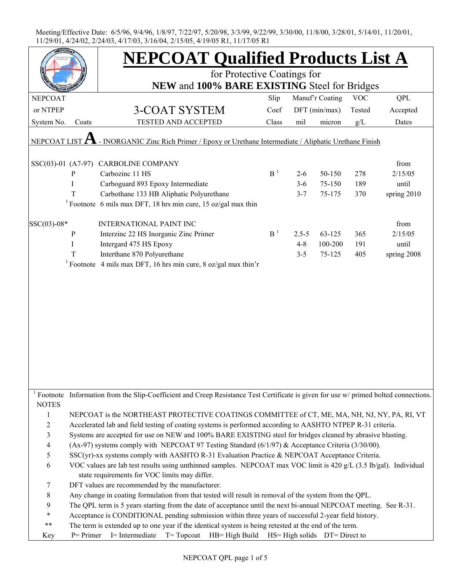| <b>NEPCOAT Qualified Products List A</b><br>for Protective Coatings for<br>NEW and 100% BARE EXISTING Steel for Bridges                                                  |                                                                                                                  |  |  |  |  |  |  |  |  |
|--------------------------------------------------------------------------------------------------------------------------------------------------------------------------|------------------------------------------------------------------------------------------------------------------|--|--|--|--|--|--|--|--|
|                                                                                                                                                                          |                                                                                                                  |  |  |  |  |  |  |  |  |
|                                                                                                                                                                          |                                                                                                                  |  |  |  |  |  |  |  |  |
| Slip<br>Manuf'r Coating<br><b>VOC</b><br><b>NEPCOAT</b>                                                                                                                  | QPL                                                                                                              |  |  |  |  |  |  |  |  |
| 3-COAT SYSTEM<br>or NTPEP<br>$DFT$ (min/max)<br>Coef<br>Tested                                                                                                           | Accepted                                                                                                         |  |  |  |  |  |  |  |  |
| TESTED AND ACCEPTED<br>Class<br>mil<br>g/L<br>System No.<br>Coats<br>micron                                                                                              | Dates                                                                                                            |  |  |  |  |  |  |  |  |
|                                                                                                                                                                          |                                                                                                                  |  |  |  |  |  |  |  |  |
| - INORGANIC Zinc Rich Primer / Epoxy or Urethane Intermediate / Aliphatic Urethane Finish<br>NEPCOAT LIST                                                                |                                                                                                                  |  |  |  |  |  |  |  |  |
| <b>CARBOLINE COMPANY</b><br>$SSC(03)-01$ (A7-97)                                                                                                                         | from                                                                                                             |  |  |  |  |  |  |  |  |
| B <sup>1</sup><br>Carbozinc 11 HS<br>50-150<br>P<br>$2 - 6$<br>278                                                                                                       | 2/15/05                                                                                                          |  |  |  |  |  |  |  |  |
| Carboguard 893 Epoxy Intermediate<br>$3 - 6$<br>189<br>I<br>75-150                                                                                                       | until                                                                                                            |  |  |  |  |  |  |  |  |
| Carbothane 133 HB Aliphatic Polyurethane<br>T<br>$3 - 7$<br>75-175<br>370                                                                                                | spring 2010                                                                                                      |  |  |  |  |  |  |  |  |
| <sup>1</sup> Footnote 6 mils max DFT, 18 hrs min cure, 15 oz/gal max thin                                                                                                |                                                                                                                  |  |  |  |  |  |  |  |  |
|                                                                                                                                                                          |                                                                                                                  |  |  |  |  |  |  |  |  |
| SSC(03)-08*<br><b>INTERNATIONAL PAINT INC</b>                                                                                                                            | from                                                                                                             |  |  |  |  |  |  |  |  |
| B <sup>1</sup><br>$\mathbf{P}$<br>Interzinc 22 HS Inorganic Zinc Primer<br>$2.5 - 5$<br>63-125<br>365                                                                    | 2/15/05                                                                                                          |  |  |  |  |  |  |  |  |
| I<br>Intergard 475 HS Epoxy<br>$4 - 8$<br>100-200<br>191                                                                                                                 | until                                                                                                            |  |  |  |  |  |  |  |  |
| T<br>Interthane 870 Polyurethane<br>75-125<br>405<br>$3 - 5$                                                                                                             | spring 2008                                                                                                      |  |  |  |  |  |  |  |  |
| <sup>1</sup> Footnote 4 mils max DFT, 16 hrs min cure, 8 oz/gal max thin'r                                                                                               |                                                                                                                  |  |  |  |  |  |  |  |  |
|                                                                                                                                                                          |                                                                                                                  |  |  |  |  |  |  |  |  |
|                                                                                                                                                                          |                                                                                                                  |  |  |  |  |  |  |  |  |
|                                                                                                                                                                          |                                                                                                                  |  |  |  |  |  |  |  |  |
|                                                                                                                                                                          |                                                                                                                  |  |  |  |  |  |  |  |  |
|                                                                                                                                                                          |                                                                                                                  |  |  |  |  |  |  |  |  |
|                                                                                                                                                                          |                                                                                                                  |  |  |  |  |  |  |  |  |
|                                                                                                                                                                          |                                                                                                                  |  |  |  |  |  |  |  |  |
|                                                                                                                                                                          |                                                                                                                  |  |  |  |  |  |  |  |  |
|                                                                                                                                                                          |                                                                                                                  |  |  |  |  |  |  |  |  |
|                                                                                                                                                                          |                                                                                                                  |  |  |  |  |  |  |  |  |
|                                                                                                                                                                          |                                                                                                                  |  |  |  |  |  |  |  |  |
|                                                                                                                                                                          |                                                                                                                  |  |  |  |  |  |  |  |  |
| <sup>1</sup> Footnote Information from the Slip-Coefficient and Creep Resistance Test Certificate is given for use $w$ / primed bolted connections.                      |                                                                                                                  |  |  |  |  |  |  |  |  |
| <b>NOTES</b><br>NEPCOAT is the NORTHEAST PROTECTIVE COATINGS COMMITTEE of CT, ME, MA, NH, NJ, NY, PA, RI, VT                                                             |                                                                                                                  |  |  |  |  |  |  |  |  |
| $\mathbf{1}$                                                                                                                                                             |                                                                                                                  |  |  |  |  |  |  |  |  |
| $\boldsymbol{2}$<br>Accelerated lab and field testing of coating systems is performed according to AASHTO NTPEP R-31 criteria.                                           |                                                                                                                  |  |  |  |  |  |  |  |  |
| 3<br>Systems are accepted for use on NEW and 100% BARE EXISTING steel for bridges cleaned by abrasive blasting.                                                          |                                                                                                                  |  |  |  |  |  |  |  |  |
| $\overline{4}$<br>(Ax-97) systems comply with NEPCOAT 97 Testing Standard (6/1/97) & Acceptance Criteria (3/30/00).                                                      |                                                                                                                  |  |  |  |  |  |  |  |  |
| 5<br>SSC(yr)-xx systems comply with AASHTO R-31 Evaluation Practice & NEPCOAT Acceptance Criteria.                                                                       |                                                                                                                  |  |  |  |  |  |  |  |  |
| 6<br>VOC values are lab test results using unthinned samples. NEPCOAT max VOC limit is 420 g/L (3.5 lb/gal). Individual<br>state requirements for VOC limits may differ. |                                                                                                                  |  |  |  |  |  |  |  |  |
| DFT values are recommended by the manufacturer.                                                                                                                          |                                                                                                                  |  |  |  |  |  |  |  |  |
| 7<br>$\,8\,$                                                                                                                                                             | Any change in coating formulation from that tested will result in removal of the system from the QPL.            |  |  |  |  |  |  |  |  |
| 9                                                                                                                                                                        | The QPL term is 5 years starting from the date of acceptance until the next bi-annual NEPCOAT meeting. See R-31. |  |  |  |  |  |  |  |  |
| $\ast$<br>Acceptance is CONDITIONAL pending submission within three years of successful 2-year field history.                                                            |                                                                                                                  |  |  |  |  |  |  |  |  |
| $***$<br>The term is extended up to one year if the identical system is being retested at the end of the term.                                                           |                                                                                                                  |  |  |  |  |  |  |  |  |
| $T = Topcoat$ HB= High Build HS= High solids DT= Direct to<br>$P = Primer$<br>I= Intermediate<br>Key                                                                     |                                                                                                                  |  |  |  |  |  |  |  |  |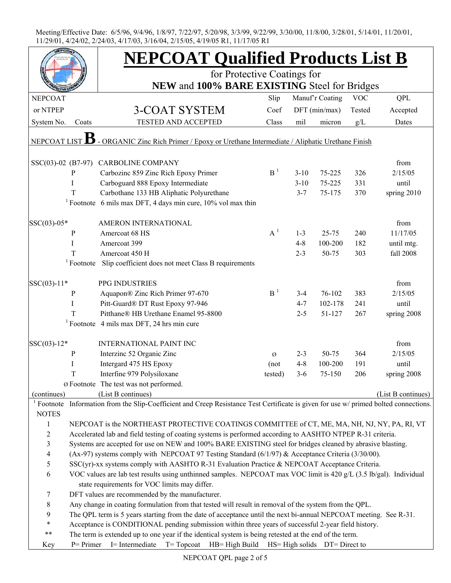|                          |              | <b>NEPCOAT Qualified Products List B</b>                                                                                   |                |          |                 |            |                    |
|--------------------------|--------------|----------------------------------------------------------------------------------------------------------------------------|----------------|----------|-----------------|------------|--------------------|
|                          |              | for Protective Coatings for                                                                                                |                |          |                 |            |                    |
| <b>NEPCOAT</b>           |              | NEW and 100% BARE EXISTING Steel for Bridges                                                                               | Slip           |          | Manuf'r Coating | <b>VOC</b> | QPL                |
|                          |              |                                                                                                                            |                |          |                 |            |                    |
| or NTPEP                 |              | 3-COAT SYSTEM                                                                                                              | Coef           |          | DFT (min/max)   | Tested     | Accepted           |
| System No.               | Coats        | <b>TESTED AND ACCEPTED</b>                                                                                                 | Class          | mil      | micron          | g/L        | Dates              |
| NEPCOAT LIST             |              | - ORGANIC Zinc Rich Primer / Epoxy or Urethane Intermediate / Aliphatic Urethane Finish                                    |                |          |                 |            |                    |
| $SSC(03)-02$ (B7-97)     |              | <b>CARBOLINE COMPANY</b>                                                                                                   |                |          |                 |            | from               |
|                          | P            | Carbozinc 859 Zinc Rich Epoxy Primer                                                                                       | B <sup>1</sup> | $3 - 10$ | 75-225          | 326        | 2/15/05            |
|                          | I            | Carboguard 888 Epoxy Intermediate                                                                                          |                | $3 - 10$ | 75-225          | 331        | until              |
|                          | T            | Carbothane 133 HB Aliphatic Polyurethane                                                                                   |                | $3 - 7$  | 75-175          | 370        | spring 2010        |
|                          |              | <sup>1</sup> Footnote 6 mils max DFT, 4 days min cure, $10\%$ vol max thin                                                 |                |          |                 |            |                    |
| $SSC(03)-05*$            |              | AMERON INTERNATIONAL                                                                                                       |                |          |                 |            | from               |
|                          | $\mathbf{P}$ | Amercoat 68 HS                                                                                                             | $A^1$          | $1 - 3$  | $25 - 75$       | 240        | 11/17/05           |
|                          | Ι            | Amercoat 399                                                                                                               |                | $4 - 8$  | 100-200         | 182        | until mtg.         |
|                          | T            | Amercoat 450 H                                                                                                             |                | $2 - 3$  | 50-75           | 303        | fall 2008          |
|                          |              | <sup>1</sup> Footnote Slip coefficient does not meet Class B requirements                                                  |                |          |                 |            |                    |
|                          |              |                                                                                                                            |                |          |                 |            |                    |
| $SSC(03)-11*$            |              | PPG INDUSTRIES                                                                                                             |                |          |                 |            | from               |
|                          | $\mathbf{P}$ | Aquapon® Zinc Rich Primer 97-670                                                                                           | B <sup>1</sup> | $3-4$    | 76-102          | 383        | 2/15/05            |
|                          | I            | Pitt-Guard® DT Rust Epoxy 97-946                                                                                           |                | $4 - 7$  | 102-178         | 241        | until              |
|                          | T            | Pitthane® HB Urethane Enamel 95-8800                                                                                       |                | $2 - 5$  | 51-127          | 267        | spring 2008        |
|                          |              | $1$ Footnote 4 mils max DFT, 24 hrs min cure                                                                               |                |          |                 |            |                    |
| $SSC(03)-12*$            |              | <b>INTERNATIONAL PAINT INC</b>                                                                                             |                |          |                 |            | from               |
|                          | P            | Interzinc 52 Organic Zinc                                                                                                  | Ø              | $2 - 3$  | 50-75           | 364        | 2/15/05            |
|                          | Ι            | Intergard 475 HS Epoxy                                                                                                     | (not)          | $4 - 8$  | 100-200         | 191        | until              |
|                          | T            | Interfine 979 Polysiloxane                                                                                                 | tested)        | $3 - 6$  | 75-150          | 206        | spring 2008        |
|                          |              | <b><math>\emptyset</math></b> Footnote The test was not performed.                                                         |                |          |                 |            |                    |
| (continues)              |              | (List B continues)                                                                                                         |                |          |                 |            | (List B continues) |
| $1$ Footnote             |              | Information from the Slip-Coefficient and Creep Resistance Test Certificate is given for use w/ primed bolted connections. |                |          |                 |            |                    |
| <b>NOTES</b>             |              |                                                                                                                            |                |          |                 |            |                    |
| $\mathbf{1}$             |              | NEPCOAT is the NORTHEAST PROTECTIVE COATINGS COMMITTEE of CT, ME, MA, NH, NJ, NY, PA, RI, VT                               |                |          |                 |            |                    |
| $\overline{c}$           |              | Accelerated lab and field testing of coating systems is performed according to AASHTO NTPEP R-31 criteria.                 |                |          |                 |            |                    |
| 3                        |              | Systems are accepted for use on NEW and 100% BARE EXISTING steel for bridges cleaned by abrasive blasting.                 |                |          |                 |            |                    |
| $\overline{\mathcal{A}}$ |              | (Ax-97) systems comply with NEPCOAT 97 Testing Standard (6/1/97) & Acceptance Criteria (3/30/00).                          |                |          |                 |            |                    |
| 5                        |              | SSC(yr)-xx systems comply with AASHTO R-31 Evaluation Practice & NEPCOAT Acceptance Criteria.                              |                |          |                 |            |                    |
| 6                        |              | VOC values are lab test results using unthinned samples. NEPCOAT max VOC limit is 420 g/L (3.5 lb/gal). Individual         |                |          |                 |            |                    |
|                          |              | state requirements for VOC limits may differ.                                                                              |                |          |                 |            |                    |
| 7                        |              | DFT values are recommended by the manufacturer.                                                                            |                |          |                 |            |                    |
| 8                        |              | Any change in coating formulation from that tested will result in removal of the system from the QPL.                      |                |          |                 |            |                    |
| 9                        |              | The QPL term is 5 years starting from the date of acceptance until the next bi-annual NEPCOAT meeting. See R-31.           |                |          |                 |            |                    |
| $\ast$                   |              | Acceptance is CONDITIONAL pending submission within three years of successful 2-year field history.                        |                |          |                 |            |                    |
| **                       |              | The term is extended up to one year if the identical system is being retested at the end of the term.                      |                |          |                 |            |                    |
| Key                      | $P = Primer$ | I= Intermediate T= Topcoat HB= High Build HS= High solids DT= Direct to                                                    |                |          |                 |            |                    |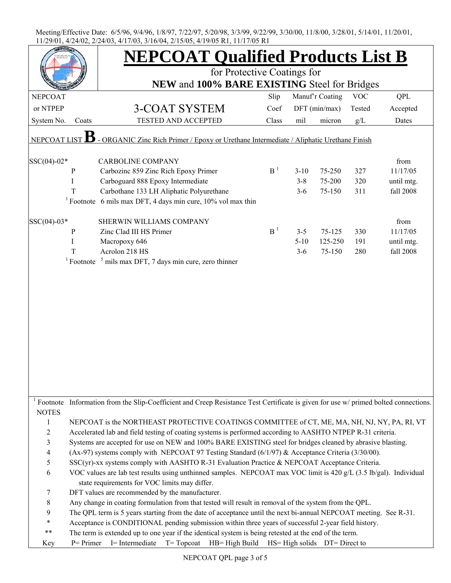|                         |           | <b>NEPCOAT Qualified Products List B</b>                                                                                                                            |                |          |                 |            |            |  |  |
|-------------------------|-----------|---------------------------------------------------------------------------------------------------------------------------------------------------------------------|----------------|----------|-----------------|------------|------------|--|--|
|                         |           | for Protective Coatings for                                                                                                                                         |                |          |                 |            |            |  |  |
|                         |           | NEW and 100% BARE EXISTING Steel for Bridges                                                                                                                        |                |          |                 |            |            |  |  |
| <b>NEPCOAT</b>          |           |                                                                                                                                                                     | Slip           |          | Manuf'r Coating | <b>VOC</b> | QPL        |  |  |
| or NTPEP                |           | 3-COAT SYSTEM                                                                                                                                                       | Coef           |          | DFT (min/max)   | Tested     | Accepted   |  |  |
| System No.              | Coats     | <b>TESTED AND ACCEPTED</b>                                                                                                                                          | Class          | mil      | micron          | $g/L$      | Dates      |  |  |
| NEPCOAT LIST            | В         | - ORGANIC Zinc Rich Primer / Epoxy or Urethane Intermediate / Aliphatic Urethane Finish                                                                             |                |          |                 |            |            |  |  |
| SSC(04)-02*             |           | <b>CARBOLINE COMPANY</b>                                                                                                                                            |                |          |                 |            | from       |  |  |
|                         | ${\bf P}$ | Carbozinc 859 Zinc Rich Epoxy Primer                                                                                                                                | B <sup>1</sup> | $3 - 10$ | 75-250          | 327        | 11/17/05   |  |  |
|                         | T         | Carboguard 888 Epoxy Intermediate                                                                                                                                   |                | $3 - 8$  | 75-200          | 320        | until mtg. |  |  |
|                         | T         | Carbothane 133 LH Aliphatic Polyurethane                                                                                                                            |                | $3 - 6$  | 75-150          | 311        | fall 2008  |  |  |
|                         |           | <sup>1</sup> Footnote 6 mils max DFT, 4 days min cure, $10\%$ vol max thin                                                                                          |                |          |                 |            |            |  |  |
|                         |           |                                                                                                                                                                     |                |          |                 |            |            |  |  |
| SSC(04)-03*             |           | SHERWIN WILLIAMS COMPANY                                                                                                                                            | B <sup>1</sup> |          |                 |            | from       |  |  |
|                         | ${\bf P}$ | Zinc Clad III HS Primer                                                                                                                                             |                | $3 - 5$  | 75-125          | 330        | 11/17/05   |  |  |
|                         | I         | Macropoxy 646                                                                                                                                                       |                | $5 - 10$ | 125-250         | 191        | until mtg. |  |  |
|                         | T         | Acrolon 218 HS<br>$1$ Footnote $5$ mils max DFT, 7 days min cure, zero thinner                                                                                      |                | $3 - 6$  | 75-150          | 280        | fall 2008  |  |  |
|                         |           |                                                                                                                                                                     |                |          |                 |            |            |  |  |
| <b>NOTES</b>            |           | <sup>1</sup> Footnote Information from the Slip-Coefficient and Creep Resistance Test Certificate is given for use w/ primed bolted connections.                    |                |          |                 |            |            |  |  |
| $\mathbf{1}$            |           | NEPCOAT is the NORTHEAST PROTECTIVE COATINGS COMMITTEE of CT, ME, MA, NH, NJ, NY, PA, RI, VT                                                                        |                |          |                 |            |            |  |  |
| $\overline{c}$          |           | Accelerated lab and field testing of coating systems is performed according to AASHTO NTPEP R-31 criteria.                                                          |                |          |                 |            |            |  |  |
| 3                       |           | Systems are accepted for use on NEW and 100% BARE EXISTING steel for bridges cleaned by abrasive blasting.                                                          |                |          |                 |            |            |  |  |
| $\overline{\mathbf{4}}$ |           | (Ax-97) systems comply with NEPCOAT 97 Testing Standard (6/1/97) & Acceptance Criteria (3/30/00).                                                                   |                |          |                 |            |            |  |  |
| 5                       |           | SSC(yr)-xx systems comply with AASHTO R-31 Evaluation Practice & NEPCOAT Acceptance Criteria.                                                                       |                |          |                 |            |            |  |  |
| 6                       |           | VOC values are lab test results using unthinned samples. NEPCOAT max VOC limit is 420 g/L (3.5 lb/gal). Individual<br>state requirements for VOC limits may differ. |                |          |                 |            |            |  |  |
| 7                       |           | DFT values are recommended by the manufacturer.                                                                                                                     |                |          |                 |            |            |  |  |
| 8                       |           | Any change in coating formulation from that tested will result in removal of the system from the QPL.                                                               |                |          |                 |            |            |  |  |
| 9                       |           | The QPL term is 5 years starting from the date of acceptance until the next bi-annual NEPCOAT meeting. See R-31.                                                    |                |          |                 |            |            |  |  |
| $\ast$                  |           | Acceptance is CONDITIONAL pending submission within three years of successful 2-year field history.                                                                 |                |          |                 |            |            |  |  |
| $***$                   |           | The term is extended up to one year if the identical system is being retested at the end of the term.                                                               |                |          |                 |            |            |  |  |
| Key                     |           | $P =$ Primer I = Intermediate T = Topcoat HB = High Build HS = High solids DT = Direct to                                                                           |                |          |                 |            |            |  |  |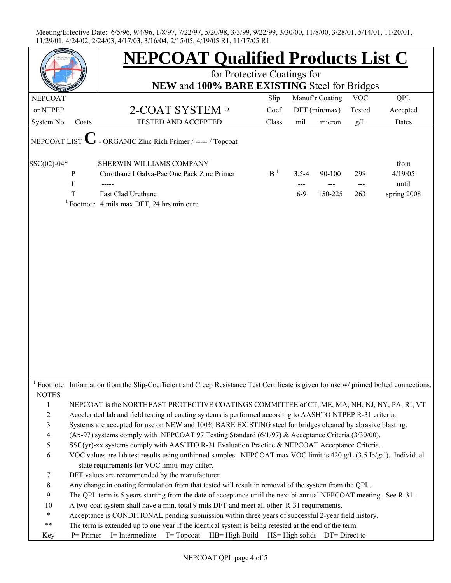|                         |                             | <b>NEPCOAT Qualified Products List C</b>                                                                                            |                |           |                 |            |             |  |  |
|-------------------------|-----------------------------|-------------------------------------------------------------------------------------------------------------------------------------|----------------|-----------|-----------------|------------|-------------|--|--|
|                         | for Protective Coatings for |                                                                                                                                     |                |           |                 |            |             |  |  |
|                         |                             | NEW and 100% BARE EXISTING Steel for Bridges                                                                                        |                |           |                 |            |             |  |  |
| <b>NEPCOAT</b>          |                             |                                                                                                                                     | Slip           |           | Manuf'r Coating | <b>VOC</b> | QPL         |  |  |
| or NTPEP                |                             | 2-COAT SYSTEM 10                                                                                                                    | Coef           |           | $DFT$ (min/max) | Tested     | Accepted    |  |  |
| System No.              | Coats                       | TESTED AND ACCEPTED                                                                                                                 | Class          | mil       | micron          | g/L        | Dates       |  |  |
| NEPCOAT LIST            |                             | - ORGANIC Zinc Rich Primer / ----- / Topcoat                                                                                        |                |           |                 |            |             |  |  |
| $SSC(02)-04*$           |                             | SHERWIN WILLIAMS COMPANY                                                                                                            |                |           |                 |            | from        |  |  |
|                         | $\mathbf{P}$                | Corothane I Galva-Pac One Pack Zinc Primer                                                                                          | B <sup>1</sup> | $3.5 - 4$ | 90-100          | 298        | 4/19/05     |  |  |
|                         | I                           |                                                                                                                                     |                |           |                 | ---        | until       |  |  |
|                         | T                           | Fast Clad Urethane                                                                                                                  |                | $6-9$     | 150-225         | 263        | spring 2008 |  |  |
|                         |                             | <sup>1</sup> Footnote 4 mils max DFT, 24 hrs min cure                                                                               |                |           |                 |            |             |  |  |
|                         |                             |                                                                                                                                     |                |           |                 |            |             |  |  |
|                         |                             |                                                                                                                                     |                |           |                 |            |             |  |  |
|                         |                             |                                                                                                                                     |                |           |                 |            |             |  |  |
|                         |                             |                                                                                                                                     |                |           |                 |            |             |  |  |
|                         |                             |                                                                                                                                     |                |           |                 |            |             |  |  |
|                         |                             |                                                                                                                                     |                |           |                 |            |             |  |  |
|                         |                             |                                                                                                                                     |                |           |                 |            |             |  |  |
|                         |                             |                                                                                                                                     |                |           |                 |            |             |  |  |
|                         |                             |                                                                                                                                     |                |           |                 |            |             |  |  |
|                         |                             |                                                                                                                                     |                |           |                 |            |             |  |  |
|                         |                             |                                                                                                                                     |                |           |                 |            |             |  |  |
|                         |                             |                                                                                                                                     |                |           |                 |            |             |  |  |
|                         |                             |                                                                                                                                     |                |           |                 |            |             |  |  |
|                         |                             |                                                                                                                                     |                |           |                 |            |             |  |  |
|                         |                             |                                                                                                                                     |                |           |                 |            |             |  |  |
|                         |                             |                                                                                                                                     |                |           |                 |            |             |  |  |
|                         |                             |                                                                                                                                     |                |           |                 |            |             |  |  |
|                         |                             | Footnote Information from the Slip-Coefficient and Creep Resistance Test Certificate is given for use w/ primed bolted connections. |                |           |                 |            |             |  |  |
| <b>NOTES</b>            |                             |                                                                                                                                     |                |           |                 |            |             |  |  |
| $\mathbf{1}$            |                             | NEPCOAT is the NORTHEAST PROTECTIVE COATINGS COMMITTEE of CT, ME, MA, NH, NJ, NY, PA, RI, VT                                        |                |           |                 |            |             |  |  |
| $\overline{c}$          |                             | Accelerated lab and field testing of coating systems is performed according to AASHTO NTPEP R-31 criteria.                          |                |           |                 |            |             |  |  |
| 3                       |                             | Systems are accepted for use on NEW and 100% BARE EXISTING steel for bridges cleaned by abrasive blasting.                          |                |           |                 |            |             |  |  |
| $\overline{\mathbf{4}}$ |                             | (Ax-97) systems comply with NEPCOAT 97 Testing Standard (6/1/97) & Acceptance Criteria (3/30/00).                                   |                |           |                 |            |             |  |  |
| 5                       |                             | SSC(yr)-xx systems comply with AASHTO R-31 Evaluation Practice & NEPCOAT Acceptance Criteria.                                       |                |           |                 |            |             |  |  |
| 6                       |                             | VOC values are lab test results using unthinned samples. NEPCOAT max VOC limit is 420 g/L (3.5 lb/gal). Individual                  |                |           |                 |            |             |  |  |
|                         |                             | state requirements for VOC limits may differ.                                                                                       |                |           |                 |            |             |  |  |
| 7                       |                             | DFT values are recommended by the manufacturer.                                                                                     |                |           |                 |            |             |  |  |
| 8                       |                             | Any change in coating formulation from that tested will result in removal of the system from the QPL.                               |                |           |                 |            |             |  |  |
| 9                       |                             | The QPL term is 5 years starting from the date of acceptance until the next bi-annual NEPCOAT meeting. See R-31.                    |                |           |                 |            |             |  |  |
| $10\,$                  |                             | A two-coat system shall have a min. total 9 mils DFT and meet all other R-31 requirements.                                          |                |           |                 |            |             |  |  |
| $\ast$                  |                             | Acceptance is CONDITIONAL pending submission within three years of successful 2-year field history.                                 |                |           |                 |            |             |  |  |
| **                      |                             |                                                                                                                                     |                |           |                 |            |             |  |  |
|                         |                             | The term is extended up to one year if the identical system is being retested at the end of the term.                               |                |           |                 |            |             |  |  |
| Key                     | $P = Primer$                | I= Intermediate<br>$T = Topcoat$ HB= High Build HS= High solids DT= Direct to                                                       |                |           |                 |            |             |  |  |